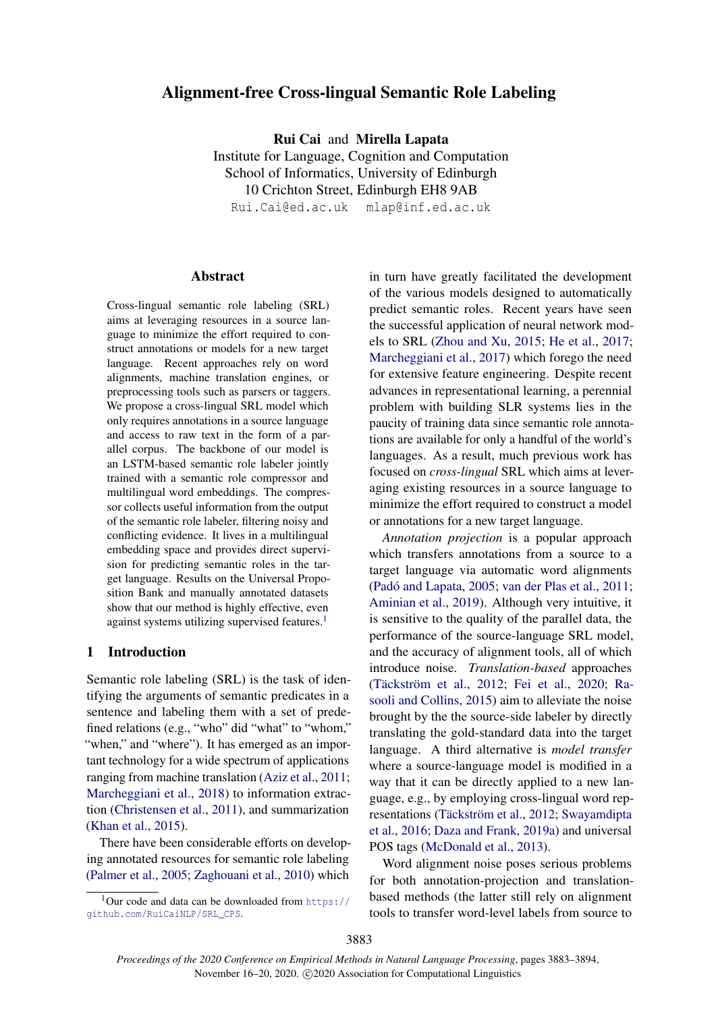# Alignment-free Cross-lingual Semantic Role Labeling

Rui Cai and Mirella Lapata

Institute for Language, Cognition and Computation School of Informatics, University of Edinburgh 10 Crichton Street, Edinburgh EH8 9AB Rui.Cai@ed.ac.uk mlap@inf.ed.ac.uk

Abstract

Cross-lingual semantic role labeling (SRL) aims at leveraging resources in a source language to minimize the effort required to construct annotations or models for a new target language. Recent approaches rely on word alignments, machine translation engines, or preprocessing tools such as parsers or taggers. We propose a cross-lingual SRL model which only requires annotations in a source language and access to raw text in the form of a parallel corpus. The backbone of our model is an LSTM-based semantic role labeler jointly trained with a semantic role compressor and multilingual word embeddings. The compressor collects useful information from the output of the semantic role labeler, filtering noisy and conflicting evidence. It lives in a multilingual embedding space and provides direct supervision for predicting semantic roles in the target language. Results on the Universal Proposition Bank and manually annotated datasets show that our method is highly effective, even against systems utilizing supervised features.<sup>[1](#page-0-0)</sup>

# 1 Introduction

Semantic role labeling (SRL) is the task of identifying the arguments of semantic predicates in a sentence and labeling them with a set of predefined relations (e.g., "who" did "what" to "whom," "when," and "where"). It has emerged as an important technology for a wide spectrum of applications ranging from machine translation [\(Aziz et al.,](#page-8-0) [2011;](#page-8-0) [Marcheggiani et al.,](#page-9-0) [2018\)](#page-9-0) to information extraction [\(Christensen et al.,](#page-8-1) [2011\)](#page-8-1), and summarization [\(Khan et al.,](#page-9-1) [2015\)](#page-9-1).

There have been considerable efforts on developing annotated resources for semantic role labeling [\(Palmer et al.,](#page-10-0) [2005;](#page-10-0) [Zaghouani et al.,](#page-10-1) [2010\)](#page-10-1) which

in turn have greatly facilitated the development of the various models designed to automatically predict semantic roles. Recent years have seen the successful application of neural network models to SRL [\(Zhou and Xu,](#page-10-2) [2015;](#page-10-2) [He et al.,](#page-9-2) [2017;](#page-9-2) [Marcheggiani et al.,](#page-9-3) [2017\)](#page-9-3) which forego the need for extensive feature engineering. Despite recent advances in representational learning, a perennial problem with building SLR systems lies in the paucity of training data since semantic role annotations are available for only a handful of the world's languages. As a result, much previous work has focused on *cross-lingual* SRL which aims at leveraging existing resources in a source language to minimize the effort required to construct a model or annotations for a new target language.

*Annotation projection* is a popular approach which transfers annotations from a source to a target language via automatic word alignments (Padó and Lapata,  $2005$ ; [van der Plas et al.,](#page-10-4)  $2011$ ; [Aminian et al.,](#page-8-2) [2019\)](#page-8-2). Although very intuitive, it is sensitive to the quality of the parallel data, the performance of the source-language SRL model, and the accuracy of alignment tools, all of which introduce noise. *Translation-based* approaches (Täckström et al., [2012;](#page-10-5) [Fei et al.,](#page-9-4) [2020;](#page-9-4) [Ra](#page-10-6)[sooli and Collins,](#page-10-6) [2015\)](#page-10-6) aim to alleviate the noise brought by the the source-side labeler by directly translating the gold-standard data into the target language. A third alternative is *model transfer* where a source-language model is modified in a way that it can be directly applied to a new language, e.g., by employing cross-lingual word rep-resentations (Täckström et al., [2012;](#page-10-5) [Swayamdipta](#page-10-7) [et al.,](#page-10-7) [2016;](#page-10-7) [Daza and Frank,](#page-9-5) [2019a\)](#page-9-5) and universal POS tags [\(McDonald et al.,](#page-10-8) [2013\)](#page-10-8).

Word alignment noise poses serious problems for both annotation-projection and translationbased methods (the latter still rely on alignment tools to transfer word-level labels from source to

<span id="page-0-0"></span> $1$ Our code and data can be downloaded from [https://](https://github.com/RuiCaiNLP/SRL_CPS) [github.com/RuiCaiNLP/SRL\\_CPS](https://github.com/RuiCaiNLP/SRL_CPS).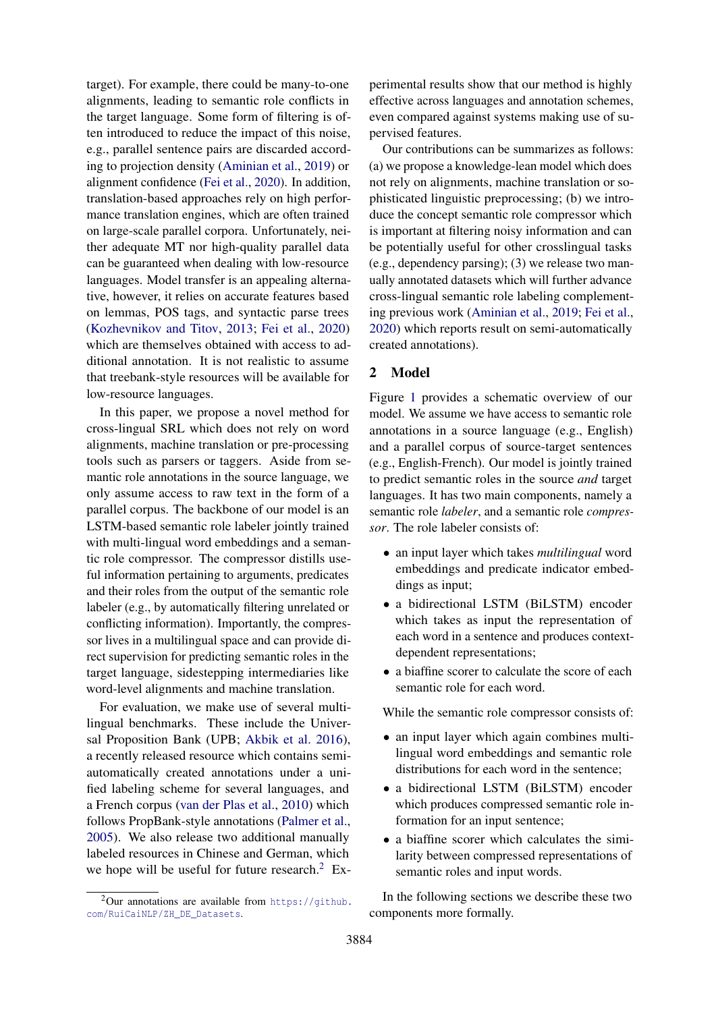target). For example, there could be many-to-one alignments, leading to semantic role conflicts in the target language. Some form of filtering is often introduced to reduce the impact of this noise, e.g., parallel sentence pairs are discarded according to projection density [\(Aminian et al.,](#page-8-2) [2019\)](#page-8-2) or alignment confidence [\(Fei et al.,](#page-9-4) [2020\)](#page-9-4). In addition, translation-based approaches rely on high performance translation engines, which are often trained on large-scale parallel corpora. Unfortunately, neither adequate MT nor high-quality parallel data can be guaranteed when dealing with low-resource languages. Model transfer is an appealing alternative, however, it relies on accurate features based on lemmas, POS tags, and syntactic parse trees [\(Kozhevnikov and Titov,](#page-9-6) [2013;](#page-9-6) [Fei et al.,](#page-9-4) [2020\)](#page-9-4) which are themselves obtained with access to additional annotation. It is not realistic to assume that treebank-style resources will be available for low-resource languages.

In this paper, we propose a novel method for cross-lingual SRL which does not rely on word alignments, machine translation or pre-processing tools such as parsers or taggers. Aside from semantic role annotations in the source language, we only assume access to raw text in the form of a parallel corpus. The backbone of our model is an LSTM-based semantic role labeler jointly trained with multi-lingual word embeddings and a semantic role compressor. The compressor distills useful information pertaining to arguments, predicates and their roles from the output of the semantic role labeler (e.g., by automatically filtering unrelated or conflicting information). Importantly, the compressor lives in a multilingual space and can provide direct supervision for predicting semantic roles in the target language, sidestepping intermediaries like word-level alignments and machine translation.

For evaluation, we make use of several multilingual benchmarks. These include the Universal Proposition Bank (UPB; [Akbik et al.](#page-8-3) [2016\)](#page-8-3), a recently released resource which contains semiautomatically created annotations under a unified labeling scheme for several languages, and a French corpus [\(van der Plas et al.,](#page-10-9) [2010\)](#page-10-9) which follows PropBank-style annotations [\(Palmer et al.,](#page-10-0) [2005\)](#page-10-0). We also release two additional manually labeled resources in Chinese and German, which we hope will be useful for future research.<sup>[2](#page-1-0)</sup> Ex-

<span id="page-1-0"></span> $^{2}$ Our annotations are available from https://qithub. [com/RuiCaiNLP/ZH\\_DE\\_Datasets](https://github.com/RuiCaiNLP/ZH_DE_Datasets).

perimental results show that our method is highly effective across languages and annotation schemes, even compared against systems making use of supervised features.

Our contributions can be summarizes as follows: (a) we propose a knowledge-lean model which does not rely on alignments, machine translation or sophisticated linguistic preprocessing; (b) we introduce the concept semantic role compressor which is important at filtering noisy information and can be potentially useful for other crosslingual tasks (e.g., dependency parsing); (3) we release two manually annotated datasets which will further advance cross-lingual semantic role labeling complementing previous work [\(Aminian et al.,](#page-8-2) [2019;](#page-8-2) [Fei et al.,](#page-9-4) [2020\)](#page-9-4) which reports result on semi-automatically created annotations).

# 2 Model

Figure [1](#page-2-0) provides a schematic overview of our model. We assume we have access to semantic role annotations in a source language (e.g., English) and a parallel corpus of source-target sentences (e.g., English-French). Our model is jointly trained to predict semantic roles in the source *and* target languages. It has two main components, namely a semantic role *labeler*, and a semantic role *compressor*. The role labeler consists of:

- an input layer which takes *multilingual* word embeddings and predicate indicator embeddings as input;
- a bidirectional LSTM (BiLSTM) encoder which takes as input the representation of each word in a sentence and produces contextdependent representations;
- a biaffine scorer to calculate the score of each semantic role for each word.

While the semantic role compressor consists of:

- an input layer which again combines multilingual word embeddings and semantic role distributions for each word in the sentence;
- a bidirectional LSTM (BiLSTM) encoder which produces compressed semantic role information for an input sentence;
- a biaffine scorer which calculates the similarity between compressed representations of semantic roles and input words.

In the following sections we describe these two components more formally.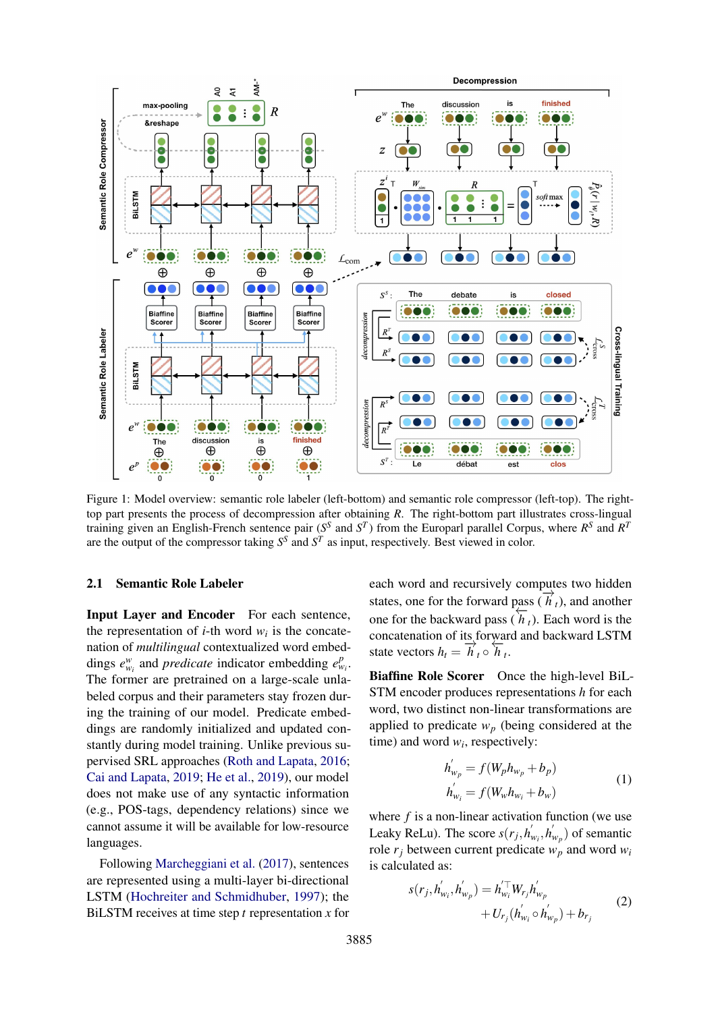<span id="page-2-0"></span>

Figure 1: Model overview: semantic role labeler (left-bottom) and semantic role compressor (left-top). The righttop part presents the process of decompression after obtaining *R*. The right-bottom part illustrates cross-lingual training given an English-French sentence pair ( $S^S$  and  $S^T$ ) from the Europarl parallel Corpus, where  $R^S$  and  $R^T$ are the output of the compressor taking  $S<sup>S</sup>$  and  $S<sup>T</sup>$  as input, respectively. Best viewed in color.

## 2.1 Semantic Role Labeler

Input Layer and Encoder For each sentence, the representation of *i*-th word  $w_i$  is the concatenation of *multilingual* contextualized word embeddings  $e_{w_i}^w$  and *predicate* indicator embedding  $e_{w_i}^p$ . The former are pretrained on a large-scale unlabeled corpus and their parameters stay frozen during the training of our model. Predicate embeddings are randomly initialized and updated constantly during model training. Unlike previous supervised SRL approaches [\(Roth and Lapata,](#page-10-10) [2016;](#page-10-10) [Cai and Lapata,](#page-8-4) [2019;](#page-8-4) [He et al.,](#page-9-7) [2019\)](#page-9-7), our model does not make use of any syntactic information (e.g., POS-tags, dependency relations) since we cannot assume it will be available for low-resource languages.

Following [Marcheggiani et al.](#page-9-3) [\(2017\)](#page-9-3), sentences are represented using a multi-layer bi-directional LSTM [\(Hochreiter and Schmidhuber,](#page-9-8) [1997\)](#page-9-8); the BiLSTM receives at time step *t* representation *x* for each word and recursively computes two hidden states, one for the forward pass  $(\vec{h}_t)$ , and another one for the backward pass  $(h_t)$ . Each word is the concatenation of its forward and backward LSTM state vectors  $h_t = \overrightarrow{h}_t \circ \overleftarrow{h}_t$ .

Biaffine Role Scorer Once the high-level BiL-STM encoder produces representations *h* for each word, two distinct non-linear transformations are applied to predicate  $w_p$  (being considered at the time) and word  $w_i$ , respectively:

$$
h'_{w_p} = f(W_p h_{w_p} + b_p)
$$
  
\n
$$
h'_{w_i} = f(W_w h_{w_i} + b_w)
$$
\n(1)

where  $f$  is a non-linear activation function (we use Leaky ReLu). The score  $s(r_j, h'_j)$  $w_i^{\prime}, h_i^{\prime}$  $\binom{m}{w_p}$  of semantic role  $r_i$  between current predicate  $w_p$  and word  $w_i$ is calculated as:

$$
s(r_j, h'_{w_i}, h'_{w_p}) = h'^{\top}_{w_i} W_{r_j} h'_{w_p}
$$
  
+  $U_{r_j} (h'_{w_i} \circ h'_{w_p}) + b_{r_j}$  (2)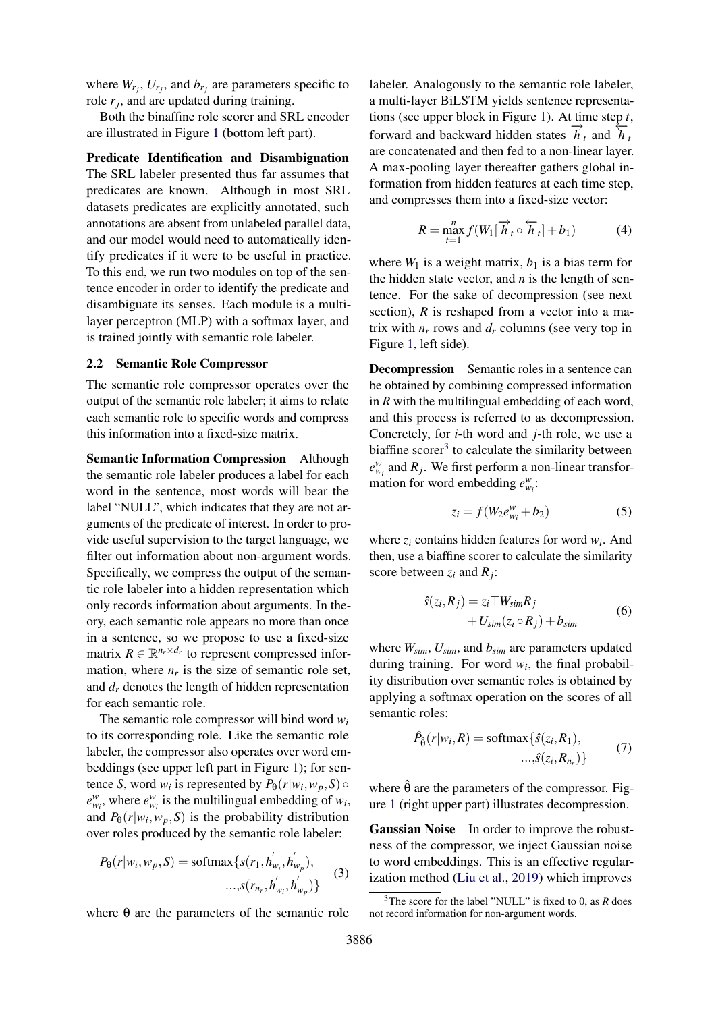where  $W_{r_j}$ ,  $U_{r_j}$ , and  $b_{r_j}$  are parameters specific to role *r<sup>j</sup>* , and are updated during training.

Both the binaffine role scorer and SRL encoder are illustrated in Figure [1](#page-2-0) (bottom left part).

Predicate Identification and Disambiguation The SRL labeler presented thus far assumes that predicates are known. Although in most SRL datasets predicates are explicitly annotated, such annotations are absent from unlabeled parallel data, and our model would need to automatically identify predicates if it were to be useful in practice. To this end, we run two modules on top of the sentence encoder in order to identify the predicate and disambiguate its senses. Each module is a multilayer perceptron (MLP) with a softmax layer, and is trained jointly with semantic role labeler.

#### 2.2 Semantic Role Compressor

The semantic role compressor operates over the output of the semantic role labeler; it aims to relate each semantic role to specific words and compress this information into a fixed-size matrix.

Semantic Information Compression Although the semantic role labeler produces a label for each word in the sentence, most words will bear the label "NULL", which indicates that they are not arguments of the predicate of interest. In order to provide useful supervision to the target language, we filter out information about non-argument words. Specifically, we compress the output of the semantic role labeler into a hidden representation which only records information about arguments. In theory, each semantic role appears no more than once in a sentence, so we propose to use a fixed-size matrix  $R \in \mathbb{R}^{n_r \times d_r}$  to represent compressed information, where  $n_r$  is the size of semantic role set, and  $d<sub>r</sub>$  denotes the length of hidden representation for each semantic role.

The semantic role compressor will bind word *w<sup>i</sup>* to its corresponding role. Like the semantic role labeler, the compressor also operates over word embeddings (see upper left part in Figure [1\)](#page-2-0); for sentence *S*, word  $w_i$  is represented by  $P_{\theta}(r|w_i, w_p, S) \circ$  $e_{w_i}^w$ , where  $e_{w_i}^w$  is the multilingual embedding of  $w_i$ , and  $P_{\theta}(r|w_i, w_p, S)$  is the probability distribution over roles produced by the semantic role labeler:

$$
P_{\theta}(r|w_i, w_p, S) = \text{softmax}\{s(r_1, h'_{w_i}, h'_{w_p}),
$$
  
..., $s(r_{n_r}, h'_{w_i}, h'_{w_p})\}$  (3)

where  $\theta$  are the parameters of the semantic role

labeler. Analogously to the semantic role labeler, a multi-layer BiLSTM yields sentence representations (see upper block in Figure [1\)](#page-2-0). At time step *t*, forward and backward hidden states  $\overrightarrow{h}_t$  and  $\overrightarrow{h}_t$ are concatenated and then fed to a non-linear layer. A max-pooling layer thereafter gathers global information from hidden features at each time step, and compresses them into a fixed-size vector:

$$
R = \max_{t=1}^{n} f(W_1[\overrightarrow{h}_t \circ \overleftarrow{h}_t] + b_1)
$$
 (4)

where  $W_1$  is a weight matrix,  $b_1$  is a bias term for the hidden state vector, and *n* is the length of sentence. For the sake of decompression (see next section), *R* is reshaped from a vector into a matrix with  $n_r$  rows and  $d_r$  columns (see very top in Figure [1,](#page-2-0) left side).

Decompression Semantic roles in a sentence can be obtained by combining compressed information in *R* with the multilingual embedding of each word, and this process is referred to as decompression. Concretely, for *i*-th word and *j*-th role, we use a biaffine scorer<sup>[3](#page-3-0)</sup> to calculate the similarity between  $e_{w_i}^w$  and  $R_j$ . We first perform a non-linear transformation for word embedding  $e_{w_i}^w$ :

$$
z_i = f(W_2 e_{w_i}^w + b_2)
$$
 (5)

where  $z_i$  contains hidden features for word  $w_i$ . And then, use a biaffine scorer to calculate the similarity score between  $z_i$  and  $R_j$ :

$$
\hat{s}(z_i, R_j) = z_i \top W_{sim} R_j + U_{sim}(z_i \circ R_j) + b_{sim}
$$
\n(6)

where *Wsim*, *Usim*, and *bsim* are parameters updated during training. For word  $w_i$ , the final probability distribution over semantic roles is obtained by applying a softmax operation on the scores of all semantic roles:

$$
\hat{P}_{\hat{\theta}}(r|w_i, R) = \text{softmax}\{\hat{s}(z_i, R_1), \dots, \hat{s}(z_i, R_{n_r})\}\tag{7}
$$

where  $\hat{\theta}$  are the parameters of the compressor. Figure [1](#page-2-0) (right upper part) illustrates decompression.

Gaussian Noise In order to improve the robustness of the compressor, we inject Gaussian noise to word embeddings. This is an effective regularization method [\(Liu et al.,](#page-9-9) [2019\)](#page-9-9) which improves

<span id="page-3-0"></span><sup>3</sup>The score for the label "NULL" is fixed to 0, as *R* does not record information for non-argument words.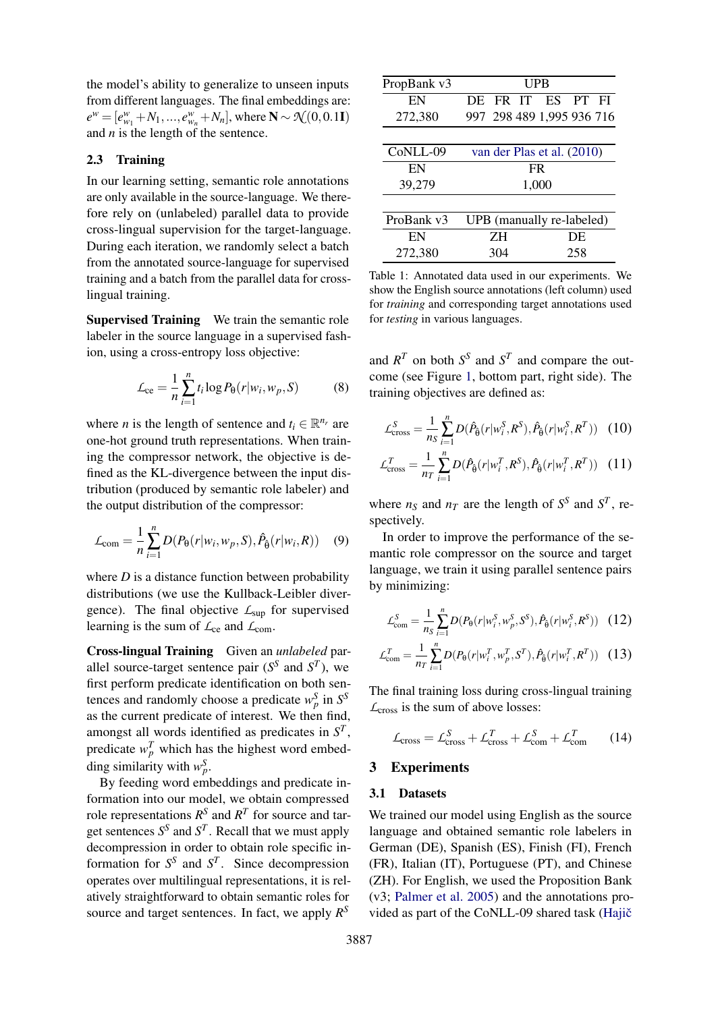the model's ability to generalize to unseen inputs from different languages. The final embeddings are:  $e^w = [e_{w_1}^w + N_1, ..., e_{w_n}^w + N_n]$ , where  $N \sim \mathcal{N}(0, 0.1I)$ and *n* is the length of the sentence.

# <span id="page-4-1"></span>2.3 Training

In our learning setting, semantic role annotations are only available in the source-language. We therefore rely on (unlabeled) parallel data to provide cross-lingual supervision for the target-language. During each iteration, we randomly select a batch from the annotated source-language for supervised training and a batch from the parallel data for crosslingual training.

Supervised Training We train the semantic role labeler in the source language in a supervised fashion, using a cross-entropy loss objective:

$$
\mathcal{L}_{ce} = \frac{1}{n} \sum_{i=1}^{n} t_i \log P_{\theta}(r|w_i, w_p, S) \tag{8}
$$

where *n* is the length of sentence and  $t_i \in \mathbb{R}^{n_r}$  are one-hot ground truth representations. When training the compressor network, the objective is defined as the KL-divergence between the input distribution (produced by semantic role labeler) and the output distribution of the compressor:

$$
\mathcal{L}_{\text{com}} = \frac{1}{n} \sum_{i=1}^{n} D(P_{\theta}(r|w_i, w_p, S), \hat{P}_{\hat{\theta}}(r|w_i, R)) \quad (9)
$$

where  $D$  is a distance function between probability distributions (we use the Kullback-Leibler divergence). The final objective *L*sup for supervised learning is the sum of  $\mathcal{L}_{ce}$  and  $\mathcal{L}_{com}$ .

Cross-lingual Training Given an *unlabeled* parallel source-target sentence pair  $(S^S \text{ and } S^T)$ , we first perform predicate identification on both sentences and randomly choose a predicate  $w_p^S$  in  $S^S$ as the current predicate of interest. We then find, amongst all words identified as predicates in *S T* , predicate  $w_p^T$  which has the highest word embedding similarity with  $w_p^S$ .

By feeding word embeddings and predicate information into our model, we obtain compressed role representations  $R^S$  and  $R^T$  for source and target sentences  $S^S$  and  $S^T$ . Recall that we must apply decompression in order to obtain role specific information for  $S^S$  and  $S^T$ . Since decompression operates over multilingual representations, it is relatively straightforward to obtain semantic roles for source and target sentences. In fact, we apply *R S*

<span id="page-4-0"></span>

| PropBank v3 | UPB            |                            |  |  |  |  |  |  |  |
|-------------|----------------|----------------------------|--|--|--|--|--|--|--|
| EN          | FR IT ES<br>DE | PT.<br>FI                  |  |  |  |  |  |  |  |
| 272,380     |                | 997 298 489 1,995 936 716  |  |  |  |  |  |  |  |
|             |                |                            |  |  |  |  |  |  |  |
| CoNLL-09    |                | van der Plas et al. (2010) |  |  |  |  |  |  |  |
| EN          | FR             |                            |  |  |  |  |  |  |  |
| 39,279      | 1,000          |                            |  |  |  |  |  |  |  |
|             |                |                            |  |  |  |  |  |  |  |
| ProBank v3  |                | UPB (manually re-labeled)  |  |  |  |  |  |  |  |
| EN          | 7H<br>DE       |                            |  |  |  |  |  |  |  |
| 272,380     | 258<br>304     |                            |  |  |  |  |  |  |  |

Table 1: Annotated data used in our experiments. We show the English source annotations (left column) used for *training* and corresponding target annotations used for *testing* in various languages.

and  $R^T$  on both  $S^S$  and  $S^T$  and compare the outcome (see Figure [1,](#page-2-0) bottom part, right side). The training objectives are defined as:

$$
\mathcal{L}_{\text{cross}}^{S} = \frac{1}{n_{S}} \sum_{i=1}^{n} D(\hat{P}_{\hat{\theta}}(r|w_{i}^{S}, R^{S}), \hat{P}_{\hat{\theta}}(r|w_{i}^{S}, R^{T})) \quad (10)
$$

$$
\mathcal{L}_{\text{cross}}^{T} = \frac{1}{n_{T}} \sum_{i=1}^{n} D(\hat{P}_{\hat{\theta}}(r|w_{i}^{T}, R^{S}), \hat{P}_{\hat{\theta}}(r|w_{i}^{T}, R^{T})) \quad (11)
$$

where  $n_S$  and  $n_T$  are the length of  $S^S$  and  $S^T$ , respectively.

In order to improve the performance of the semantic role compressor on the source and target language, we train it using parallel sentence pairs by minimizing:

$$
\mathcal{L}_{\text{com}}^S = \frac{1}{n_S} \sum_{i=1}^n D(P_\theta(r|w_i^S, w_p^S, S^S), \hat{P}_{\hat{\theta}}(r|w_i^S, R^S)) \quad (12)
$$

$$
\mathcal{L}_{\text{com}}^T = \frac{1}{n_T} \sum_{i=1}^n D(P_{\theta}(r|w_i^T, w_p^T, S^T), \hat{P}_{\hat{\theta}}(r|w_i^T, R^T)) \quad (13)
$$

The final training loss during cross-lingual training *L*cross is the sum of above losses:

$$
\mathcal{L}_{\text{cross}} = \mathcal{L}_{\text{cross}}^S + \mathcal{L}_{\text{cross}}^T + \mathcal{L}_{\text{com}}^S + \mathcal{L}_{\text{com}}^T \qquad (14)
$$

## 3 Experiments

#### 3.1 Datasets

We trained our model using English as the source language and obtained semantic role labelers in German (DE), Spanish (ES), Finish (FI), French (FR), Italian (IT), Portuguese (PT), and Chinese (ZH). For English, we used the Proposition Bank (v3; [Palmer et al.](#page-10-0) [2005\)](#page-10-0) and the annotations provided as part of the CoNLL-09 shared task (Hajič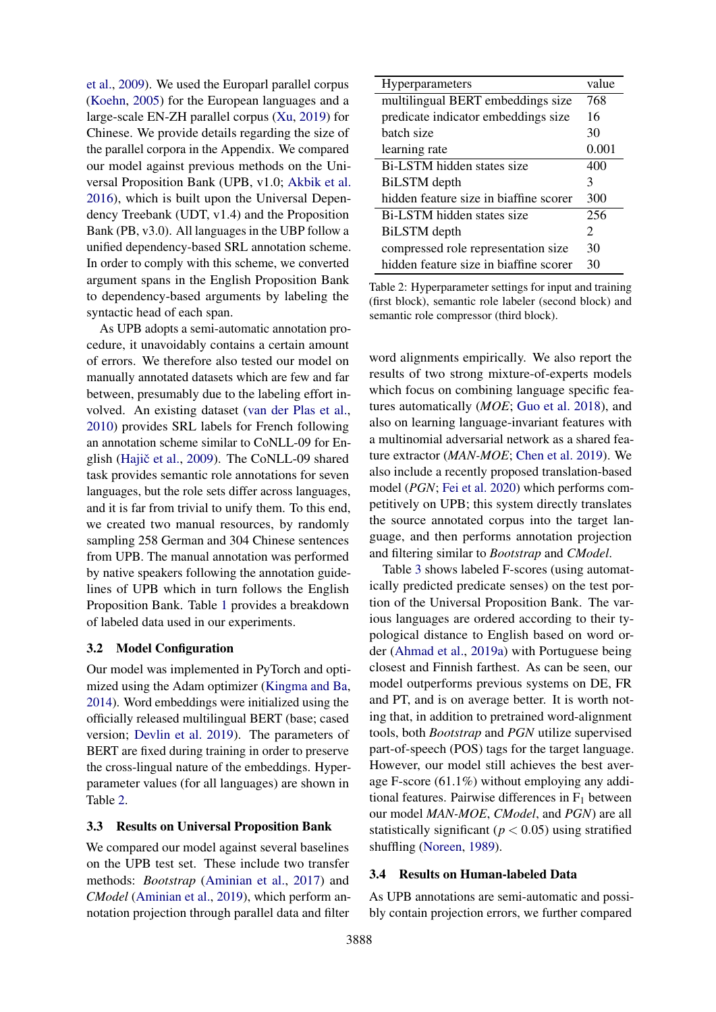[et al.,](#page-9-10) [2009\)](#page-9-10). We used the Europarl parallel corpus [\(Koehn,](#page-9-11) [2005\)](#page-9-11) for the European languages and a large-scale EN-ZH parallel corpus [\(Xu,](#page-10-11) [2019\)](#page-10-11) for Chinese. We provide details regarding the size of the parallel corpora in the Appendix. We compared our model against previous methods on the Universal Proposition Bank (UPB, v1.0; [Akbik et al.](#page-8-3) [2016\)](#page-8-3), which is built upon the Universal Dependency Treebank (UDT, v1.4) and the Proposition Bank (PB, v3.0). All languages in the UBP follow a unified dependency-based SRL annotation scheme. In order to comply with this scheme, we converted argument spans in the English Proposition Bank to dependency-based arguments by labeling the syntactic head of each span.

As UPB adopts a semi-automatic annotation procedure, it unavoidably contains a certain amount of errors. We therefore also tested our model on manually annotated datasets which are few and far between, presumably due to the labeling effort involved. An existing dataset [\(van der Plas et al.,](#page-10-9) [2010\)](#page-10-9) provides SRL labels for French following an annotation scheme similar to CoNLL-09 for En-glish (Hajič et al., [2009\)](#page-9-10). The CoNLL-09 shared task provides semantic role annotations for seven languages, but the role sets differ across languages, and it is far from trivial to unify them. To this end, we created two manual resources, by randomly sampling 258 German and 304 Chinese sentences from UPB. The manual annotation was performed by native speakers following the annotation guidelines of UPB which in turn follows the English Proposition Bank. Table [1](#page-4-0) provides a breakdown of labeled data used in our experiments.

# 3.2 Model Configuration

Our model was implemented in PyTorch and optimized using the Adam optimizer [\(Kingma and Ba,](#page-9-12) [2014\)](#page-9-12). Word embeddings were initialized using the officially released multilingual BERT (base; cased version; [Devlin et al.](#page-9-13) [2019\)](#page-9-13). The parameters of BERT are fixed during training in order to preserve the cross-lingual nature of the embeddings. Hyperparameter values (for all languages) are shown in Table [2.](#page-5-0)

# 3.3 Results on Universal Proposition Bank

We compared our model against several baselines on the UPB test set. These include two transfer methods: *Bootstrap* [\(Aminian et al.,](#page-8-5) [2017\)](#page-8-5) and *CModel* [\(Aminian et al.,](#page-8-2) [2019\)](#page-8-2), which perform annotation projection through parallel data and filter

<span id="page-5-0"></span>

| value                 |
|-----------------------|
| 768                   |
| 16                    |
| 30                    |
| 0.001                 |
| 400                   |
| 3                     |
| 300                   |
| 256                   |
| $\mathcal{D}_{\cdot}$ |
| 30                    |
| 30                    |
|                       |

Table 2: Hyperparameter settings for input and training (first block), semantic role labeler (second block) and semantic role compressor (third block).

word alignments empirically. We also report the results of two strong mixture-of-experts models which focus on combining language specific features automatically (*MOE*; [Guo et al.](#page-9-14) [2018\)](#page-9-14), and also on learning language-invariant features with a multinomial adversarial network as a shared feature extractor (*MAN-MOE*; [Chen et al.](#page-8-6) [2019\)](#page-8-6). We also include a recently proposed translation-based model (*PGN*; [Fei et al.](#page-9-4) [2020\)](#page-9-4) which performs competitively on UPB; this system directly translates the source annotated corpus into the target language, and then performs annotation projection and filtering similar to *Bootstrap* and *CModel*.

Table [3](#page-6-0) shows labeled F-scores (using automatically predicted predicate senses) on the test portion of the Universal Proposition Bank. The various languages are ordered according to their typological distance to English based on word order [\(Ahmad et al.,](#page-8-7) [2019a\)](#page-8-7) with Portuguese being closest and Finnish farthest. As can be seen, our model outperforms previous systems on DE, FR and PT, and is on average better. It is worth noting that, in addition to pretrained word-alignment tools, both *Bootstrap* and *PGN* utilize supervised part-of-speech (POS) tags for the target language. However, our model still achieves the best average F-score (61.1%) without employing any additional features. Pairwise differences in  $F_1$  between our model *MAN-MOE*, *CModel*, and *PGN*) are all statistically significant (*p* < 0.05) using stratified shuffling [\(Noreen,](#page-10-12) [1989\)](#page-10-12).

#### 3.4 Results on Human-labeled Data

As UPB annotations are semi-automatic and possibly contain projection errors, we further compared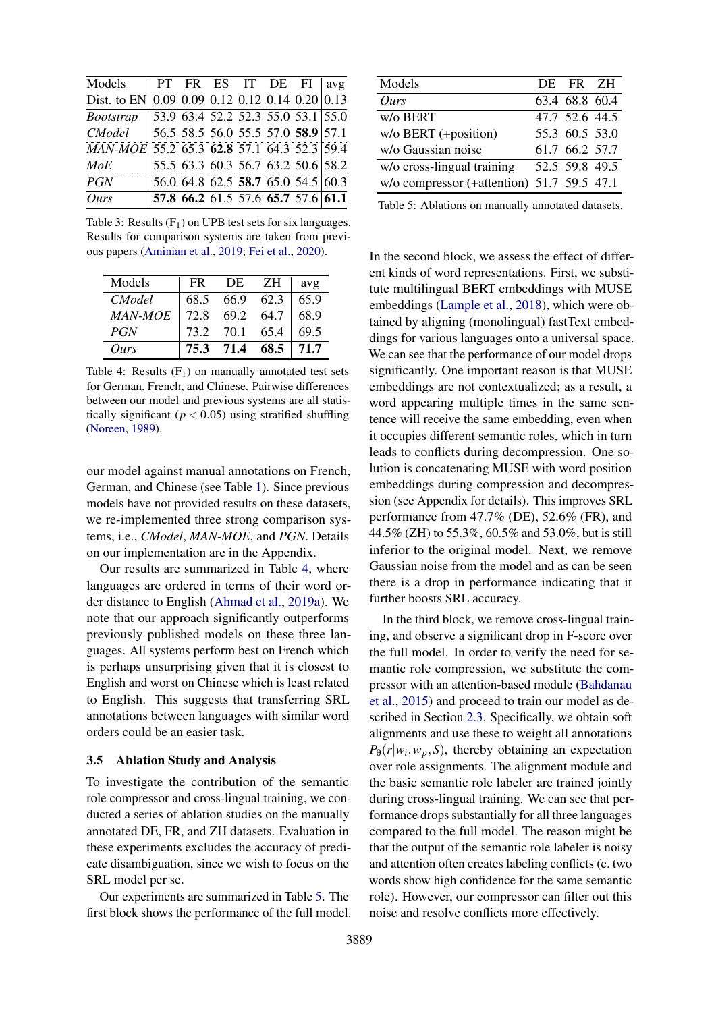<span id="page-6-0"></span>

| Models                                         |  |  | PT FR ES IT DE FI   avg                     |  |
|------------------------------------------------|--|--|---------------------------------------------|--|
| Dist. to EN 0.09 0.09 0.12 0.12 0.14 0.20 0.13 |  |  |                                             |  |
| <i>Bootstrap</i>                               |  |  | $\overline{53.963.452.252.355.053.1}\$ 55.0 |  |
| <i>CModel</i>                                  |  |  | 56.5 58.5 56.0 55.5 57.0 58.9 57.1          |  |
| MAN-MOE 55.2 65.3 62.8 57.1 64.3 52.3 59.4     |  |  |                                             |  |
| MoE                                            |  |  | 55.5 63.3 60.3 56.7 63.2 50.6 58.2          |  |
| PGN                                            |  |  | 56.0 64.8 62.5 58.7 65.0 54.5 60.3          |  |
| Ours                                           |  |  | 57.8 66.2 61.5 57.6 65.7 57.6 61.1          |  |

Table 3: Results  $(F_1)$  on UPB test sets for six languages. Results for comparison systems are taken from previous papers [\(Aminian et al.,](#page-8-2) [2019;](#page-8-2) [Fei et al.,](#page-9-4) [2020\)](#page-9-4).

<span id="page-6-1"></span>

| Models         | FR.  | DE             | ZH        | avg  |
|----------------|------|----------------|-----------|------|
| <i>CModel</i>  | 68.5 | 66.9 62.3      |           | 65.9 |
| <b>MAN-MOE</b> | 72.8 |                | 69.2 64.7 | 68.9 |
| PGN            | 73.2 | 70.1           | 65.4      | 69.5 |
| Ours           |      | 75.3 71.4 68.5 |           | 71.7 |

Table 4: Results  $(F_1)$  on manually annotated test sets for German, French, and Chinese. Pairwise differences between our model and previous systems are all statistically significant  $(p < 0.05)$  using stratified shuffling [\(Noreen,](#page-10-12) [1989\)](#page-10-12).

our model against manual annotations on French, German, and Chinese (see Table [1\)](#page-4-0). Since previous models have not provided results on these datasets, we re-implemented three strong comparison systems, i.e., *CModel*, *MAN-MOE*, and *PGN*. Details on our implementation are in the Appendix.

Our results are summarized in Table [4,](#page-6-1) where languages are ordered in terms of their word order distance to English [\(Ahmad et al.,](#page-8-7) [2019a\)](#page-8-7). We note that our approach significantly outperforms previously published models on these three languages. All systems perform best on French which is perhaps unsurprising given that it is closest to English and worst on Chinese which is least related to English. This suggests that transferring SRL annotations between languages with similar word orders could be an easier task.

# 3.5 Ablation Study and Analysis

To investigate the contribution of the semantic role compressor and cross-lingual training, we conducted a series of ablation studies on the manually annotated DE, FR, and ZH datasets. Evaluation in these experiments excludes the accuracy of predicate disambiguation, since we wish to focus on the SRL model per se.

Our experiments are summarized in Table [5.](#page-6-2) The first block shows the performance of the full model.

<span id="page-6-2"></span>

| Models                                     | DE FR ZH       |  |
|--------------------------------------------|----------------|--|
| Ours                                       | 63.4 68.8 60.4 |  |
| w/o BERT                                   | 47.7 52.6 44.5 |  |
| w/o BERT (+position)                       | 55.3 60.5 53.0 |  |
| w/o Gaussian noise                         | 61.7 66.2 57.7 |  |
| w/o cross-lingual training                 | 52.5 59.8 49.5 |  |
| w/o compressor (+attention) 51.7 59.5 47.1 |                |  |

Table 5: Ablations on manually annotated datasets.

In the second block, we assess the effect of different kinds of word representations. First, we substitute multilingual BERT embeddings with MUSE embeddings [\(Lample et al.,](#page-9-15) [2018\)](#page-9-15), which were obtained by aligning (monolingual) fastText embeddings for various languages onto a universal space. We can see that the performance of our model drops significantly. One important reason is that MUSE embeddings are not contextualized; as a result, a word appearing multiple times in the same sentence will receive the same embedding, even when it occupies different semantic roles, which in turn leads to conflicts during decompression. One solution is concatenating MUSE with word position embeddings during compression and decompression (see Appendix for details). This improves SRL performance from 47.7% (DE), 52.6% (FR), and 44.5% (ZH) to 55.3%, 60.5% and 53.0%, but is still inferior to the original model. Next, we remove Gaussian noise from the model and as can be seen there is a drop in performance indicating that it further boosts SRL accuracy.

In the third block, we remove cross-lingual training, and observe a significant drop in F-score over the full model. In order to verify the need for semantic role compression, we substitute the compressor with an attention-based module [\(Bahdanau](#page-8-8) [et al.,](#page-8-8) [2015\)](#page-8-8) and proceed to train our model as described in Section [2.3.](#page-4-1) Specifically, we obtain soft alignments and use these to weight all annotations  $P_{\theta}(r|w_i, w_p, S)$ , thereby obtaining an expectation over role assignments. The alignment module and the basic semantic role labeler are trained jointly during cross-lingual training. We can see that performance drops substantially for all three languages compared to the full model. The reason might be that the output of the semantic role labeler is noisy and attention often creates labeling conflicts (e. two words show high confidence for the same semantic role). However, our compressor can filter out this noise and resolve conflicts more effectively.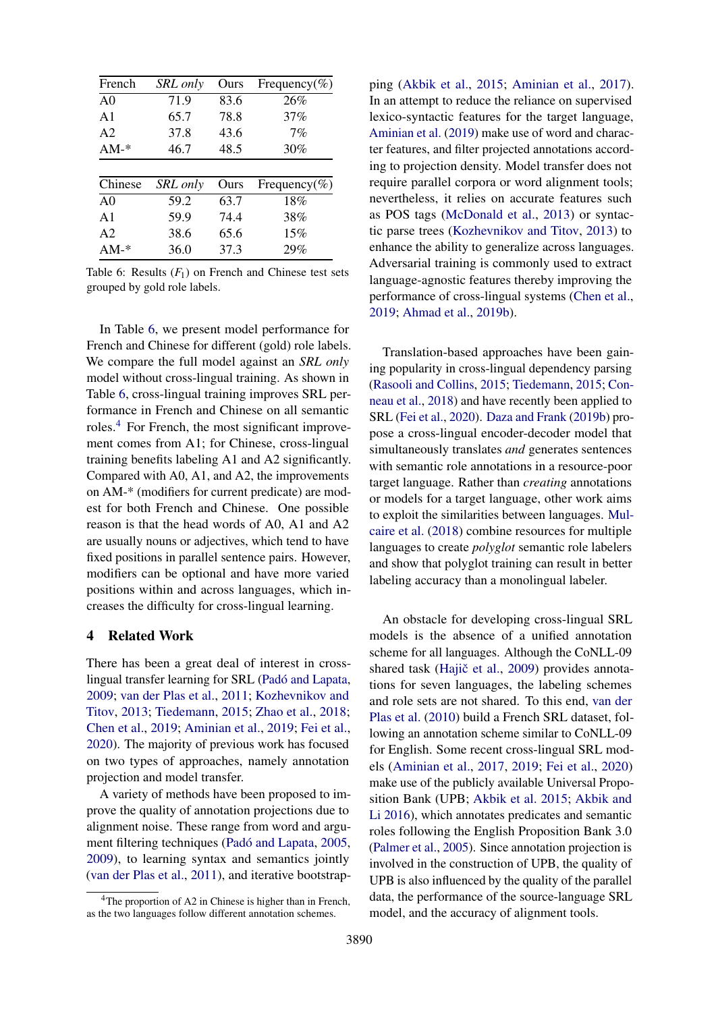<span id="page-7-0"></span>

| French         | <b>SRL</b> only | Ours | Frequency(%) |
|----------------|-----------------|------|--------------|
| A <sub>0</sub> | 71.9            | 83.6 | 26%          |
| $\mathsf{A}1$  | 65.7            | 78.8 | 37%          |
| A <sub>2</sub> | 37.8            | 43.6 | 7%           |
| $AM-*$         | 46.7            | 48.5 | 30%          |
|                |                 |      |              |
| Chinese        | <b>SRL</b> only | Ours | Frequency(%) |
| A <sub>0</sub> | 59.2            | 63.7 | 18%          |
| $\mathsf{A}1$  | 59.9            | 74.4 | 38%          |
| A <sub>2</sub> | 38.6            | 65.6 | 15%          |
| $AM-*$         | 36.0            | 37.3 | 29%          |

Table 6: Results  $(F_1)$  on French and Chinese test sets grouped by gold role labels.

In Table [6,](#page-7-0) we present model performance for French and Chinese for different (gold) role labels. We compare the full model against an *SRL only* model without cross-lingual training. As shown in Table [6,](#page-7-0) cross-lingual training improves SRL performance in French and Chinese on all semantic roles.<sup>[4](#page-7-1)</sup> For French, the most significant improvement comes from A1; for Chinese, cross-lingual training benefits labeling A1 and A2 significantly. Compared with A0, A1, and A2, the improvements on AM-\* (modifiers for current predicate) are modest for both French and Chinese. One possible reason is that the head words of A0, A1 and A2 are usually nouns or adjectives, which tend to have fixed positions in parallel sentence pairs. However, modifiers can be optional and have more varied positions within and across languages, which increases the difficulty for cross-lingual learning.

#### 4 Related Work

There has been a great deal of interest in crosslingual transfer learning for SRL (Padó and Lapata, [2009;](#page-10-13) [van der Plas et al.,](#page-10-4) [2011;](#page-10-4) [Kozhevnikov and](#page-9-6) [Titov,](#page-9-6) [2013;](#page-9-6) [Tiedemann,](#page-10-14) [2015;](#page-10-14) [Zhao et al.,](#page-10-15) [2018;](#page-10-15) [Chen et al.,](#page-8-6) [2019;](#page-8-6) [Aminian et al.,](#page-8-2) [2019;](#page-8-2) [Fei et al.,](#page-9-4) [2020\)](#page-9-4). The majority of previous work has focused on two types of approaches, namely annotation projection and model transfer.

A variety of methods have been proposed to improve the quality of annotation projections due to alignment noise. These range from word and argu-ment filtering techniques (Padó and Lapata, [2005,](#page-10-3) [2009\)](#page-10-13), to learning syntax and semantics jointly [\(van der Plas et al.,](#page-10-4) [2011\)](#page-10-4), and iterative bootstrap-

ping [\(Akbik et al.,](#page-8-9) [2015;](#page-8-9) [Aminian et al.,](#page-8-5) [2017\)](#page-8-5). In an attempt to reduce the reliance on supervised lexico-syntactic features for the target language, [Aminian et al.](#page-8-2) [\(2019\)](#page-8-2) make use of word and character features, and filter projected annotations according to projection density. Model transfer does not require parallel corpora or word alignment tools; nevertheless, it relies on accurate features such as POS tags [\(McDonald et al.,](#page-10-8) [2013\)](#page-10-8) or syntactic parse trees [\(Kozhevnikov and Titov,](#page-9-6) [2013\)](#page-9-6) to enhance the ability to generalize across languages. Adversarial training is commonly used to extract language-agnostic features thereby improving the performance of cross-lingual systems [\(Chen et al.,](#page-8-6) [2019;](#page-8-6) [Ahmad et al.,](#page-8-10) [2019b\)](#page-8-10).

Translation-based approaches have been gaining popularity in cross-lingual dependency parsing [\(Rasooli and Collins,](#page-10-6) [2015;](#page-10-6) [Tiedemann,](#page-10-14) [2015;](#page-10-14) [Con](#page-9-16)[neau et al.,](#page-9-16) [2018\)](#page-9-16) and have recently been applied to SRL [\(Fei et al.,](#page-9-4) [2020\)](#page-9-4). [Daza and Frank](#page-9-17) [\(2019b\)](#page-9-17) propose a cross-lingual encoder-decoder model that simultaneously translates *and* generates sentences with semantic role annotations in a resource-poor target language. Rather than *creating* annotations or models for a target language, other work aims to exploit the similarities between languages. [Mul](#page-10-16)[caire et al.](#page-10-16) [\(2018\)](#page-10-16) combine resources for multiple languages to create *polyglot* semantic role labelers and show that polyglot training can result in better labeling accuracy than a monolingual labeler.

An obstacle for developing cross-lingual SRL models is the absence of a unified annotation scheme for all languages. Although the CoNLL-09 shared task (Hajič et al., [2009\)](#page-9-10) provides annotations for seven languages, the labeling schemes and role sets are not shared. To this end, [van der](#page-10-9) [Plas et al.](#page-10-9) [\(2010\)](#page-10-9) build a French SRL dataset, following an annotation scheme similar to CoNLL-09 for English. Some recent cross-lingual SRL models [\(Aminian et al.,](#page-8-5) [2017,](#page-8-5) [2019;](#page-8-2) [Fei et al.,](#page-9-4) [2020\)](#page-9-4) make use of the publicly available Universal Proposition Bank (UPB; [Akbik et al.](#page-8-9) [2015;](#page-8-9) [Akbik and](#page-8-11) [Li](#page-8-11) [2016\)](#page-8-11), which annotates predicates and semantic roles following the English Proposition Bank 3.0 [\(Palmer et al.,](#page-10-0) [2005\)](#page-10-0). Since annotation projection is involved in the construction of UPB, the quality of UPB is also influenced by the quality of the parallel data, the performance of the source-language SRL model, and the accuracy of alignment tools.

<span id="page-7-1"></span><sup>&</sup>lt;sup>4</sup>The proportion of A2 in Chinese is higher than in French, as the two languages follow different annotation schemes.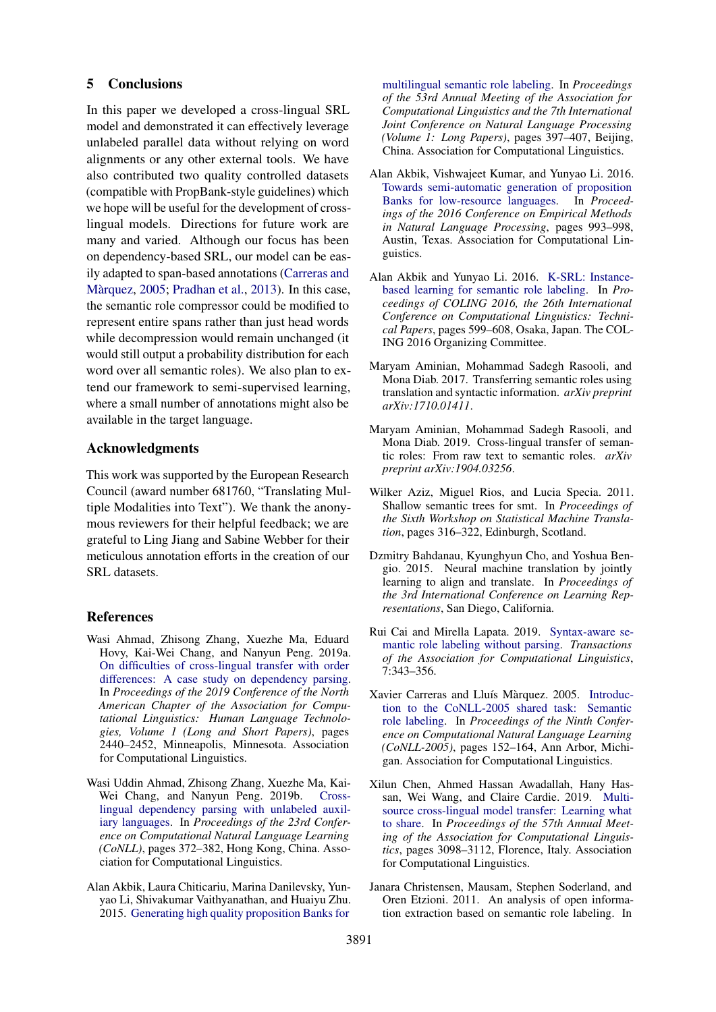## 5 Conclusions

In this paper we developed a cross-lingual SRL model and demonstrated it can effectively leverage unlabeled parallel data without relying on word alignments or any other external tools. We have also contributed two quality controlled datasets (compatible with PropBank-style guidelines) which we hope will be useful for the development of crosslingual models. Directions for future work are many and varied. Although our focus has been on dependency-based SRL, our model can be easily adapted to span-based annotations [\(Carreras and](#page-8-12) Màrquez, [2005;](#page-8-12) [Pradhan et al.,](#page-10-17) [2013\)](#page-10-17). In this case, the semantic role compressor could be modified to represent entire spans rather than just head words while decompression would remain unchanged (it would still output a probability distribution for each word over all semantic roles). We also plan to extend our framework to semi-supervised learning, where a small number of annotations might also be available in the target language.

# Acknowledgments

This work was supported by the European Research Council (award number 681760, "Translating Multiple Modalities into Text"). We thank the anonymous reviewers for their helpful feedback; we are grateful to Ling Jiang and Sabine Webber for their meticulous annotation efforts in the creation of our SRL datasets.

# References

- <span id="page-8-7"></span>Wasi Ahmad, Zhisong Zhang, Xuezhe Ma, Eduard Hovy, Kai-Wei Chang, and Nanyun Peng. 2019a. [On difficulties of cross-lingual transfer with order](https://doi.org/10.18653/v1/N19-1253) [differences: A case study on dependency parsing.](https://doi.org/10.18653/v1/N19-1253) In *Proceedings of the 2019 Conference of the North American Chapter of the Association for Computational Linguistics: Human Language Technologies, Volume 1 (Long and Short Papers)*, pages 2440–2452, Minneapolis, Minnesota. Association for Computational Linguistics.
- <span id="page-8-10"></span>Wasi Uddin Ahmad, Zhisong Zhang, Xuezhe Ma, Kai-Wei Chang, and Nanyun Peng. 2019b. [Cross](https://doi.org/10.18653/v1/K19-1035)[lingual dependency parsing with unlabeled auxil](https://doi.org/10.18653/v1/K19-1035)[iary languages.](https://doi.org/10.18653/v1/K19-1035) In *Proceedings of the 23rd Conference on Computational Natural Language Learning (CoNLL)*, pages 372–382, Hong Kong, China. Association for Computational Linguistics.
- <span id="page-8-9"></span>Alan Akbik, Laura Chiticariu, Marina Danilevsky, Yunyao Li, Shivakumar Vaithyanathan, and Huaiyu Zhu. 2015. [Generating high quality proposition Banks for](https://doi.org/10.3115/v1/P15-1039)

[multilingual semantic role labeling.](https://doi.org/10.3115/v1/P15-1039) In *Proceedings of the 53rd Annual Meeting of the Association for Computational Linguistics and the 7th International Joint Conference on Natural Language Processing (Volume 1: Long Papers)*, pages 397–407, Beijing, China. Association for Computational Linguistics.

- <span id="page-8-3"></span>Alan Akbik, Vishwajeet Kumar, and Yunyao Li. 2016. [Towards semi-automatic generation of proposition](https://doi.org/10.18653/v1/D16-1102) [Banks for low-resource languages.](https://doi.org/10.18653/v1/D16-1102) In *Proceedings of the 2016 Conference on Empirical Methods in Natural Language Processing*, pages 993–998, Austin, Texas. Association for Computational Linguistics.
- <span id="page-8-11"></span>Alan Akbik and Yunyao Li. 2016. [K-SRL: Instance](https://www.aclweb.org/anthology/C16-1058)[based learning for semantic role labeling.](https://www.aclweb.org/anthology/C16-1058) In *Proceedings of COLING 2016, the 26th International Conference on Computational Linguistics: Technical Papers*, pages 599–608, Osaka, Japan. The COL-ING 2016 Organizing Committee.
- <span id="page-8-5"></span>Maryam Aminian, Mohammad Sadegh Rasooli, and Mona Diab. 2017. Transferring semantic roles using translation and syntactic information. *arXiv preprint arXiv:1710.01411*.
- <span id="page-8-2"></span>Maryam Aminian, Mohammad Sadegh Rasooli, and Mona Diab. 2019. Cross-lingual transfer of semantic roles: From raw text to semantic roles. *arXiv preprint arXiv:1904.03256*.
- <span id="page-8-0"></span>Wilker Aziz, Miguel Rios, and Lucia Specia. 2011. Shallow semantic trees for smt. In *Proceedings of the Sixth Workshop on Statistical Machine Translation*, pages 316–322, Edinburgh, Scotland.
- <span id="page-8-8"></span>Dzmitry Bahdanau, Kyunghyun Cho, and Yoshua Bengio. 2015. Neural machine translation by jointly learning to align and translate. In *Proceedings of the 3rd International Conference on Learning Representations*, San Diego, California.
- <span id="page-8-4"></span>Rui Cai and Mirella Lapata. 2019. [Syntax-aware se](https://doi.org/10.1162/tacl_a_00272)[mantic role labeling without parsing.](https://doi.org/10.1162/tacl_a_00272) *Transactions of the Association for Computational Linguistics*, 7:343–356.
- <span id="page-8-12"></span>Xavier Carreras and Lluís Màrquez. 2005. [Introduc](https://www.aclweb.org/anthology/W05-0620)[tion to the CoNLL-2005 shared task: Semantic](https://www.aclweb.org/anthology/W05-0620) [role labeling.](https://www.aclweb.org/anthology/W05-0620) In *Proceedings of the Ninth Conference on Computational Natural Language Learning (CoNLL-2005)*, pages 152–164, Ann Arbor, Michigan. Association for Computational Linguistics.
- <span id="page-8-6"></span>Xilun Chen, Ahmed Hassan Awadallah, Hany Hassan, Wei Wang, and Claire Cardie. 2019. [Multi](https://doi.org/10.18653/v1/P19-1299)[source cross-lingual model transfer: Learning what](https://doi.org/10.18653/v1/P19-1299) [to share.](https://doi.org/10.18653/v1/P19-1299) In *Proceedings of the 57th Annual Meeting of the Association for Computational Linguistics*, pages 3098–3112, Florence, Italy. Association for Computational Linguistics.
- <span id="page-8-1"></span>Janara Christensen, Mausam, Stephen Soderland, and Oren Etzioni. 2011. An analysis of open information extraction based on semantic role labeling. In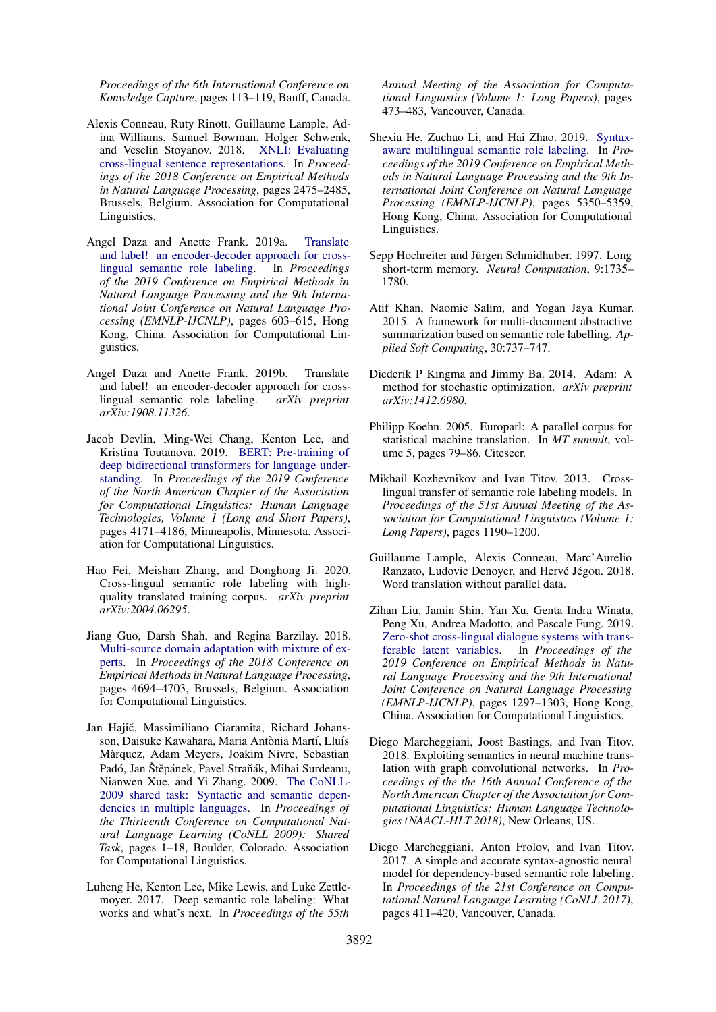*Proceedings of the 6th International Conference on Konwledge Capture*, pages 113–119, Banff, Canada.

- <span id="page-9-16"></span>Alexis Conneau, Ruty Rinott, Guillaume Lample, Adina Williams, Samuel Bowman, Holger Schwenk, and Veselin Stoyanov. 2018. [XNLI: Evaluating](https://doi.org/10.18653/v1/D18-1269) [cross-lingual sentence representations.](https://doi.org/10.18653/v1/D18-1269) In *Proceedings of the 2018 Conference on Empirical Methods in Natural Language Processing*, pages 2475–2485, Brussels, Belgium. Association for Computational Linguistics.
- <span id="page-9-5"></span>Angel Daza and Anette Frank. 2019a. [Translate](https://doi.org/10.18653/v1/D19-1056) [and label! an encoder-decoder approach for cross](https://doi.org/10.18653/v1/D19-1056)[lingual semantic role labeling.](https://doi.org/10.18653/v1/D19-1056) In *Proceedings of the 2019 Conference on Empirical Methods in Natural Language Processing and the 9th International Joint Conference on Natural Language Processing (EMNLP-IJCNLP)*, pages 603–615, Hong Kong, China. Association for Computational Linguistics.
- <span id="page-9-17"></span>Angel Daza and Anette Frank. 2019b. Translate and label! an encoder-decoder approach for crosslingual semantic role labeling. *arXiv preprint arXiv:1908.11326*.
- <span id="page-9-13"></span>Jacob Devlin, Ming-Wei Chang, Kenton Lee, and Kristina Toutanova. 2019. [BERT: Pre-training of](https://doi.org/10.18653/v1/N19-1423) [deep bidirectional transformers for language under](https://doi.org/10.18653/v1/N19-1423)[standing.](https://doi.org/10.18653/v1/N19-1423) In *Proceedings of the 2019 Conference of the North American Chapter of the Association for Computational Linguistics: Human Language Technologies, Volume 1 (Long and Short Papers)*, pages 4171–4186, Minneapolis, Minnesota. Association for Computational Linguistics.
- <span id="page-9-4"></span>Hao Fei, Meishan Zhang, and Donghong Ji. 2020. Cross-lingual semantic role labeling with highquality translated training corpus. *arXiv preprint arXiv:2004.06295*.
- <span id="page-9-14"></span>Jiang Guo, Darsh Shah, and Regina Barzilay. 2018. [Multi-source domain adaptation with mixture of ex](https://doi.org/10.18653/v1/D18-1498)[perts.](https://doi.org/10.18653/v1/D18-1498) In *Proceedings of the 2018 Conference on Empirical Methods in Natural Language Processing*, pages 4694–4703, Brussels, Belgium. Association for Computational Linguistics.
- <span id="page-9-10"></span>Jan Hajič, Massimiliano Ciaramita, Richard Johansson, Daisuke Kawahara, Maria Antònia Martí, Lluís Marquez, Adam Meyers, Joakim Nivre, Sebastian ` Padó, Jan Štěpánek, Pavel Straňák, Mihai Surdeanu, Nianwen Xue, and Yi Zhang. 2009. [The CoNLL-](https://www.aclweb.org/anthology/W09-1201)[2009 shared task: Syntactic and semantic depen](https://www.aclweb.org/anthology/W09-1201)[dencies in multiple languages.](https://www.aclweb.org/anthology/W09-1201) In *Proceedings of the Thirteenth Conference on Computational Natural Language Learning (CoNLL 2009): Shared Task*, pages 1–18, Boulder, Colorado. Association for Computational Linguistics.
- <span id="page-9-2"></span>Luheng He, Kenton Lee, Mike Lewis, and Luke Zettlemoyer. 2017. Deep semantic role labeling: What works and what's next. In *Proceedings of the 55th*

*Annual Meeting of the Association for Computational Linguistics (Volume 1: Long Papers)*, pages 473–483, Vancouver, Canada.

- <span id="page-9-7"></span>Shexia He, Zuchao Li, and Hai Zhao. 2019. [Syntax](https://doi.org/10.18653/v1/D19-1538)[aware multilingual semantic role labeling.](https://doi.org/10.18653/v1/D19-1538) In *Proceedings of the 2019 Conference on Empirical Methods in Natural Language Processing and the 9th International Joint Conference on Natural Language Processing (EMNLP-IJCNLP)*, pages 5350–5359, Hong Kong, China. Association for Computational Linguistics.
- <span id="page-9-8"></span>Sepp Hochreiter and Jürgen Schmidhuber. 1997. Long short-term memory. *Neural Computation*, 9:1735– 1780.
- <span id="page-9-1"></span>Atif Khan, Naomie Salim, and Yogan Jaya Kumar. 2015. A framework for multi-document abstractive summarization based on semantic role labelling. *Applied Soft Computing*, 30:737–747.
- <span id="page-9-12"></span>Diederik P Kingma and Jimmy Ba. 2014. Adam: A method for stochastic optimization. *arXiv preprint arXiv:1412.6980*.
- <span id="page-9-11"></span>Philipp Koehn. 2005. Europarl: A parallel corpus for statistical machine translation. In *MT summit*, volume 5, pages 79–86. Citeseer.
- <span id="page-9-6"></span>Mikhail Kozhevnikov and Ivan Titov. 2013. Crosslingual transfer of semantic role labeling models. In *Proceedings of the 51st Annual Meeting of the Association for Computational Linguistics (Volume 1: Long Papers)*, pages 1190–1200.
- <span id="page-9-15"></span>Guillaume Lample, Alexis Conneau, Marc'Aurelio Ranzato, Ludovic Denoyer, and Hervé Jégou. 2018. Word translation without parallel data.
- <span id="page-9-9"></span>Zihan Liu, Jamin Shin, Yan Xu, Genta Indra Winata, Peng Xu, Andrea Madotto, and Pascale Fung. 2019. [Zero-shot cross-lingual dialogue systems with trans](https://doi.org/10.18653/v1/D19-1129)[ferable latent variables.](https://doi.org/10.18653/v1/D19-1129) In *Proceedings of the 2019 Conference on Empirical Methods in Natural Language Processing and the 9th International Joint Conference on Natural Language Processing (EMNLP-IJCNLP)*, pages 1297–1303, Hong Kong, China. Association for Computational Linguistics.
- <span id="page-9-0"></span>Diego Marcheggiani, Joost Bastings, and Ivan Titov. 2018. Exploiting semantics in neural machine translation with graph convolutional networks. In *Proceedings of the the 16th Annual Conference of the North American Chapter of the Association for Computational Linguistics: Human Language Technologies (NAACL-HLT 2018)*, New Orleans, US.
- <span id="page-9-3"></span>Diego Marcheggiani, Anton Frolov, and Ivan Titov. 2017. A simple and accurate syntax-agnostic neural model for dependency-based semantic role labeling. In *Proceedings of the 21st Conference on Computational Natural Language Learning (CoNLL 2017)*, pages 411–420, Vancouver, Canada.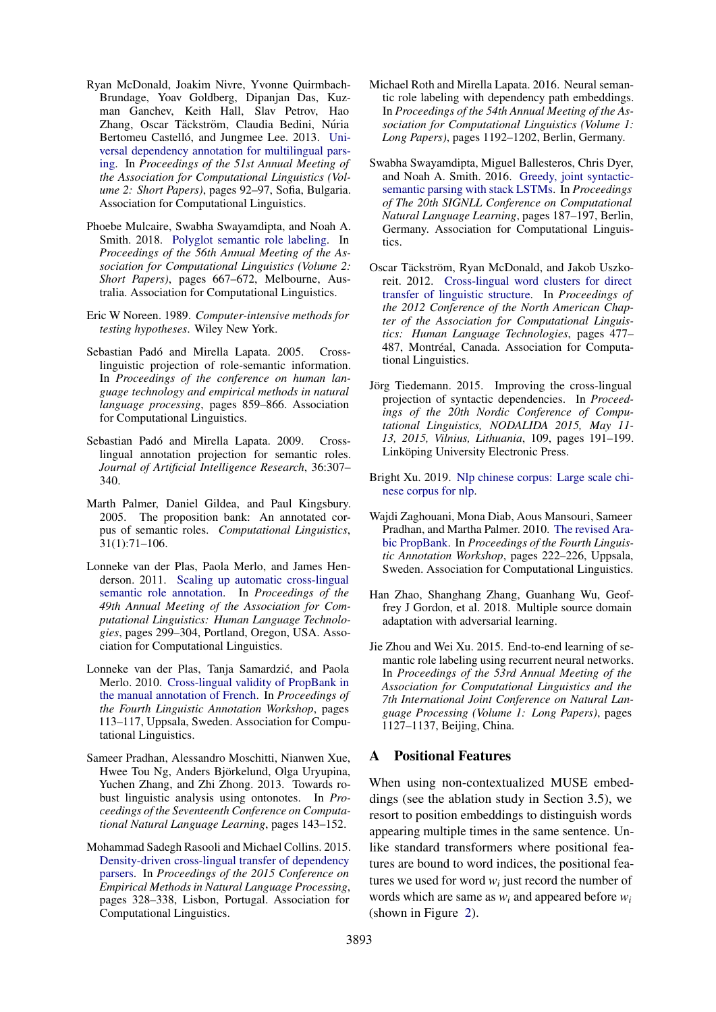- <span id="page-10-8"></span>Ryan McDonald, Joakim Nivre, Yvonne Quirmbach-Brundage, Yoav Goldberg, Dipanjan Das, Kuzman Ganchev, Keith Hall, Slav Petrov, Hao Zhang, Oscar Täckström, Claudia Bedini, Núria Bertomeu Castelló, and Jungmee Lee. 2013. [Uni](https://www.aclweb.org/anthology/P13-2017)[versal dependency annotation for multilingual pars](https://www.aclweb.org/anthology/P13-2017)[ing.](https://www.aclweb.org/anthology/P13-2017) In *Proceedings of the 51st Annual Meeting of the Association for Computational Linguistics (Volume 2: Short Papers)*, pages 92–97, Sofia, Bulgaria. Association for Computational Linguistics.
- <span id="page-10-16"></span>Phoebe Mulcaire, Swabha Swayamdipta, and Noah A. Smith. 2018. [Polyglot semantic role labeling.](https://doi.org/10.18653/v1/P18-2106) In *Proceedings of the 56th Annual Meeting of the Association for Computational Linguistics (Volume 2: Short Papers)*, pages 667–672, Melbourne, Australia. Association for Computational Linguistics.
- <span id="page-10-12"></span>Eric W Noreen. 1989. *Computer-intensive methods for testing hypotheses*. Wiley New York.
- <span id="page-10-3"></span>Sebastian Padó and Mirella Lapata. 2005. Crosslinguistic projection of role-semantic information. In *Proceedings of the conference on human language technology and empirical methods in natural language processing*, pages 859–866. Association for Computational Linguistics.
- <span id="page-10-13"></span>Sebastian Padó and Mirella Lapata. 2009. Crosslingual annotation projection for semantic roles. *Journal of Artificial Intelligence Research*, 36:307– 340.
- <span id="page-10-0"></span>Marth Palmer, Daniel Gildea, and Paul Kingsbury. 2005. The proposition bank: An annotated corpus of semantic roles. *Computational Linguistics*, 31(1):71–106.
- <span id="page-10-4"></span>Lonneke van der Plas, Paola Merlo, and James Henderson. 2011. [Scaling up automatic cross-lingual](https://www.aclweb.org/anthology/P11-2052) [semantic role annotation.](https://www.aclweb.org/anthology/P11-2052) In *Proceedings of the 49th Annual Meeting of the Association for Computational Linguistics: Human Language Technologies*, pages 299–304, Portland, Oregon, USA. Association for Computational Linguistics.
- <span id="page-10-9"></span>Lonneke van der Plas, Tanja Samardzic, and Paola ´ Merlo. 2010. [Cross-lingual validity of PropBank in](https://www.aclweb.org/anthology/W10-1814) [the manual annotation of French.](https://www.aclweb.org/anthology/W10-1814) In *Proceedings of the Fourth Linguistic Annotation Workshop*, pages 113–117, Uppsala, Sweden. Association for Computational Linguistics.
- <span id="page-10-17"></span>Sameer Pradhan, Alessandro Moschitti, Nianwen Xue, Hwee Tou Ng, Anders Björkelund, Olga Uryupina, Yuchen Zhang, and Zhi Zhong. 2013. Towards robust linguistic analysis using ontonotes. In *Proceedings of the Seventeenth Conference on Computational Natural Language Learning*, pages 143–152.
- <span id="page-10-6"></span>Mohammad Sadegh Rasooli and Michael Collins. 2015. [Density-driven cross-lingual transfer of dependency](https://doi.org/10.18653/v1/D15-1039) [parsers.](https://doi.org/10.18653/v1/D15-1039) In *Proceedings of the 2015 Conference on Empirical Methods in Natural Language Processing*, pages 328–338, Lisbon, Portugal. Association for Computational Linguistics.
- <span id="page-10-10"></span>Michael Roth and Mirella Lapata. 2016. Neural semantic role labeling with dependency path embeddings. In *Proceedings of the 54th Annual Meeting of the Association for Computational Linguistics (Volume 1: Long Papers)*, pages 1192–1202, Berlin, Germany.
- <span id="page-10-7"></span>Swabha Swayamdipta, Miguel Ballesteros, Chris Dyer, and Noah A. Smith. 2016. [Greedy, joint syntactic](https://doi.org/10.18653/v1/K16-1019)[semantic parsing with stack LSTMs.](https://doi.org/10.18653/v1/K16-1019) In *Proceedings of The 20th SIGNLL Conference on Computational Natural Language Learning*, pages 187–197, Berlin, Germany. Association for Computational Linguistics.
- <span id="page-10-5"></span>Oscar Täckström, Ryan McDonald, and Jakob Uszkoreit. 2012. [Cross-lingual word clusters for direct](https://www.aclweb.org/anthology/N12-1052) [transfer of linguistic structure.](https://www.aclweb.org/anthology/N12-1052) In *Proceedings of the 2012 Conference of the North American Chapter of the Association for Computational Linguistics: Human Language Technologies*, pages 477– 487, Montréal, Canada. Association for Computational Linguistics.
- <span id="page-10-14"></span>Jörg Tiedemann. 2015. Improving the cross-lingual projection of syntactic dependencies. In *Proceedings of the 20th Nordic Conference of Computational Linguistics, NODALIDA 2015, May 11- 13, 2015, Vilnius, Lithuania*, 109, pages 191–199. Linköping University Electronic Press.
- <span id="page-10-11"></span>Bright Xu. 2019. [Nlp chinese corpus: Large scale chi](https://doi.org/10.5281/zenodo.3402023)[nese corpus for nlp.](https://doi.org/10.5281/zenodo.3402023)
- <span id="page-10-1"></span>Wajdi Zaghouani, Mona Diab, Aous Mansouri, Sameer Pradhan, and Martha Palmer. 2010. [The revised Ara](https://www.aclweb.org/anthology/W10-1836)[bic PropBank.](https://www.aclweb.org/anthology/W10-1836) In *Proceedings of the Fourth Linguistic Annotation Workshop*, pages 222–226, Uppsala, Sweden. Association for Computational Linguistics.
- <span id="page-10-15"></span>Han Zhao, Shanghang Zhang, Guanhang Wu, Geoffrey J Gordon, et al. 2018. Multiple source domain adaptation with adversarial learning.
- <span id="page-10-2"></span>Jie Zhou and Wei Xu. 2015. End-to-end learning of semantic role labeling using recurrent neural networks. In *Proceedings of the 53rd Annual Meeting of the Association for Computational Linguistics and the 7th International Joint Conference on Natural Language Processing (Volume 1: Long Papers)*, pages 1127–1137, Beijing, China.

# A Positional Features

When using non-contextualized MUSE embeddings (see the ablation study in Section 3.5), we resort to position embeddings to distinguish words appearing multiple times in the same sentence. Unlike standard transformers where positional features are bound to word indices, the positional features we used for word  $w_i$  just record the number of words which are same as *w<sup>i</sup>* and appeared before *w<sup>i</sup>* (shown in Figure [2\)](#page-11-0).